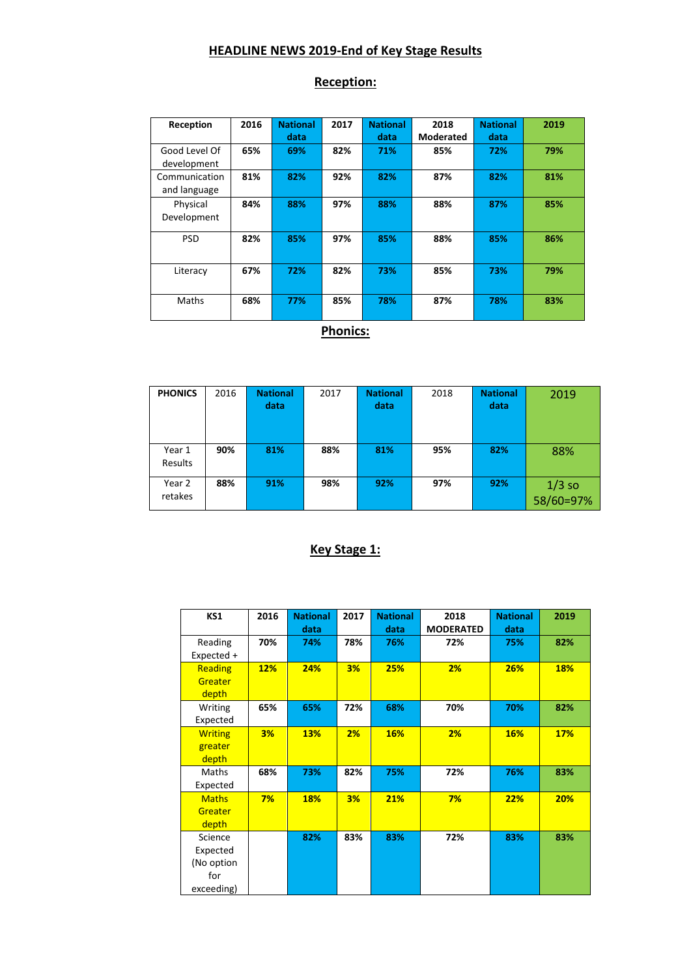# **HEADLINE NEWS 2019-End of Key Stage Results**

#### **Reception:**

| Reception                     | 2016 | <b>National</b><br>data | 2017 | <b>National</b><br>data | 2018<br>Moderated | <b>National</b><br>data | 2019 |
|-------------------------------|------|-------------------------|------|-------------------------|-------------------|-------------------------|------|
| Good Level Of<br>development  | 65%  | 69%                     | 82%  | 71%                     | 85%               | 72%                     | 79%  |
| Communication<br>and language | 81%  | 82%                     | 92%  | 82%                     | 87%               | 82%                     | 81%  |
| Physical<br>Development       | 84%  | 88%                     | 97%  | 88%                     | 88%               | 87%                     | 85%  |
| <b>PSD</b>                    | 82%  | 85%                     | 97%  | 85%                     | 88%               | 85%                     | 86%  |
| Literacy                      | 67%  | 72%                     | 82%  | 73%                     | 85%               | 73%                     | 79%  |
| Maths                         | 68%  | 77%                     | 85%  | 78%                     | 87%               | 78%                     | 83%  |

## **Phonics:**

| <b>PHONICS</b>           | 2016 | <b>National</b><br>data | 2017 | <b>National</b><br>data | 2018 | <b>National</b><br>data | 2019                  |
|--------------------------|------|-------------------------|------|-------------------------|------|-------------------------|-----------------------|
| Year 1<br><b>Results</b> | 90%  | 81%                     | 88%  | 81%                     | 95%  | 82%                     | 88%                   |
| Year 2<br>retakes        | 88%  | 91%                     | 98%  | 92%                     | 97%  | 92%                     | $1/3$ so<br>58/60=97% |

### **Key Stage 1:**

| KS1                                                    | 2016 | <b>National</b><br>data | 2017 | <b>National</b><br>data | 2018<br><b>MODERATED</b> | <b>National</b><br>data | 2019       |
|--------------------------------------------------------|------|-------------------------|------|-------------------------|--------------------------|-------------------------|------------|
| Reading<br>Expected +                                  | 70%  | 74%                     | 78%  | 76%                     | 72%                      | 75%                     | 82%        |
| Reading<br>Greater<br>depth                            | 12%  | 24%                     | 3%   | 25%                     | 2%                       | 26%                     | 18%        |
| Writing<br>Expected                                    | 65%  | 65%                     | 72%  | 68%                     | 70%                      | 70%                     | 82%        |
| <b>Writing</b><br>greater<br>depth                     | 3%   | 13%                     | 2%   | 16%                     | 2%                       | 16%                     | <b>17%</b> |
| Maths<br>Expected                                      | 68%  | 73%                     | 82%  | 75%                     | 72%                      | 76%                     | 83%        |
| <b>Maths</b><br>Greater<br>depth                       | 7%   | <b>18%</b>              | 3%   | 21%                     | 7%                       | 22%                     | 20%        |
| Science<br>Expected<br>(No option<br>for<br>exceeding) |      | 82%                     | 83%  | 83%                     | 72%                      | 83%                     | 83%        |